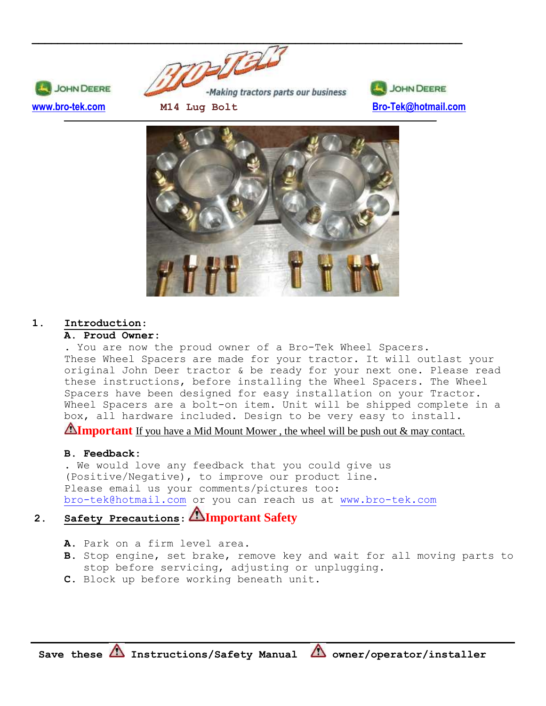







# **1. Introduction**:

### **A. Proud Owner:**

. You are now the proud owner of a Bro-Tek Wheel Spacers. These Wheel Spacers are made for your tractor. It will outlast your original John Deer tractor & be ready for your next one. Please read these instructions, before installing the Wheel Spacers. The Wheel Spacers have been designed for easy installation on your Tractor. Wheel Spacers are a bolt-on item. Unit will be shipped complete in a box, all hardware included. Design to be very easy to install.

**Important** If you have a Mid Mount Mower, the wheel will be push out & may contact.

# **B. Feedback:**

. We would love any feedback that you could give us (Positive/Negative), to improve our product line. Please email us your comments/pictures too: [bro-tek@hotmail.com](mailto:bro-tek@hotmail.com) or you can reach us at [www.bro-tek.com](http://www.bro-tek.com/)

# **2. Safety Precautions**: **Important Safety**

- **A.** Park on a firm level area.
- **B.** Stop engine, set brake, remove key and wait for all moving parts to stop before servicing, adjusting or unplugging.
- **C.** Block up before working beneath unit.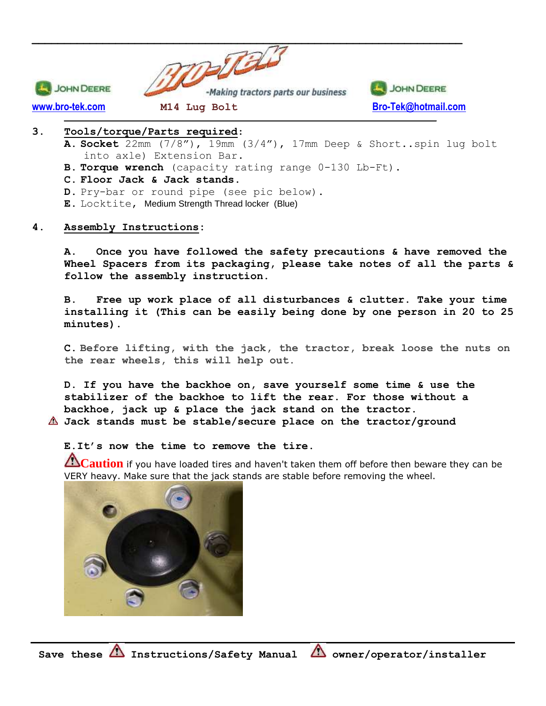

### **3. Tools/torque/Parts required**:

- **A. Socket** 22mm (7/8"), 19mm (3/4"), 17mm Deep & Short..spin lug bolt into axle) Extension Bar.
- **B. Torque wrench** (capacity rating range 0-130 Lb-Ft).
- **C. Floor Jack & Jack stands.**
- **D.** Pry-bar or round pipe (see pic below).
- **E.** Locktite, Medium Strength Thread locker (Blue)

#### **4. Assembly Instructions:**

**A. Once you have followed the safety precautions & have removed the Wheel Spacers from its packaging, please take notes of all the parts & follow the assembly instruction.**

**B. Free up work place of all disturbances & clutter. Take your time installing it (This can be easily being done by one person in 20 to 25 minutes).**

**C. Before lifting, with the jack, the tractor, break loose the nuts on the rear wheels, this will help out.**

**D. If you have the backhoe on, save yourself some time & use the stabilizer of the backhoe to lift the rear. For those without a backhoe, jack up & place the jack stand on the tractor. Jack stands must be stable/secure place on the tractor/ground**

**E.It's now the time to remove the tire.**

**Caution** if you have loaded tires and haven't taken them off before then beware they can be VERY heavy. Make sure that the jack stands are stable before removing the wheel.

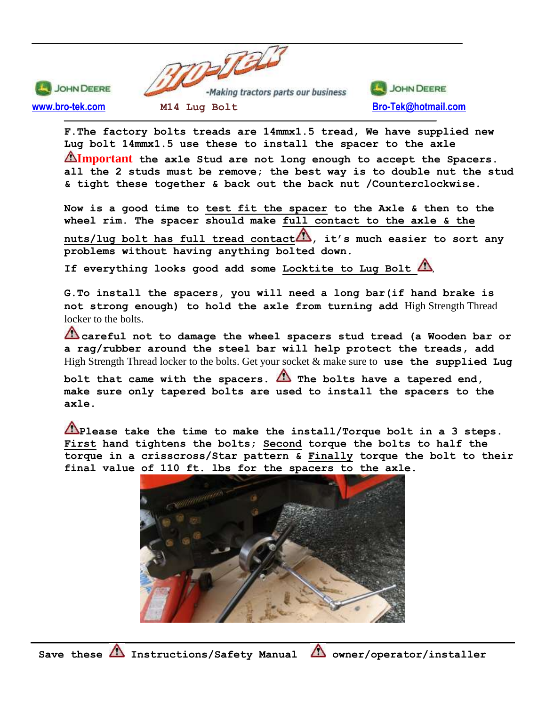

**F.The factory bolts treads are 14mmx1.5 tread, We have supplied new Lug bolt 14mmx1.5 use these to install the spacer to the axle Important the axle Stud are not long enough to accept the Spacers. all the 2 studs must be remove; the best way is to double nut the stud & tight these together & back out the back nut /Counterclockwise.**

**Now is a good time to test fit the spacer to the Axle & then to the wheel rim. The spacer should make full contact to the axle & the**  nuts/lug bolt has full tread contact<sup>1</sup>, it's much easier to sort any **problems without having anything bolted down.** 

**If everything looks good add some Locktite to Lug Bolt** ,

**G.To install the spacers, you will need a long bar(if hand brake is not strong enough) to hold the axle from turning add** High Strength Thread locker to the bolts.

**careful not to damage the wheel spacers stud tread (a Wooden bar or a rag/rubber around the steel bar will help protect the treads, add**  High Strength Thread locker to the bolts. Get your socket & make sure to **use the supplied Lug** 

**bolt that came with the spacers. The bolts have a tapered end, make sure only tapered bolts are used to install the spacers to the axle.**

**Please take the time to make the install/Torque bolt in a 3 steps. First hand tightens the bolts; Second torque the bolts to half the torque in a crisscross/Star pattern & Finally torque the bolt to their final value of 110 ft. lbs for the spacers to the axle.**

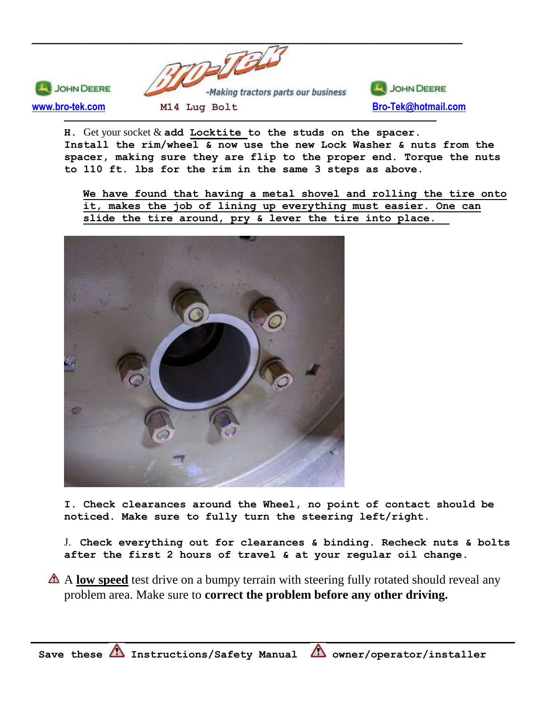

**H.** Get your socket & **add Locktite to the studs on the spacer. Install the rim/wheel & now use the new Lock Washer & nuts from the spacer, making sure they are flip to the proper end. Torque the nuts to 110 ft. lbs for the rim in the same 3 steps as above.**

**We have found that having a metal shovel and rolling the tire onto it, makes the job of lining up everything must easier. One can slide the tire around, pry & lever the tire into place.**



**I. Check clearances around the Wheel, no point of contact should be noticed. Make sure to fully turn the steering left/right.** 

J. **Check everything out for clearances & binding. Recheck nuts & bolts after the first 2 hours of travel & at your regular oil change.** 

A **low speed** test drive on a bumpy terrain with steering fully rotated should reveal any problem area. Make sure to **correct the problem before any other driving.**